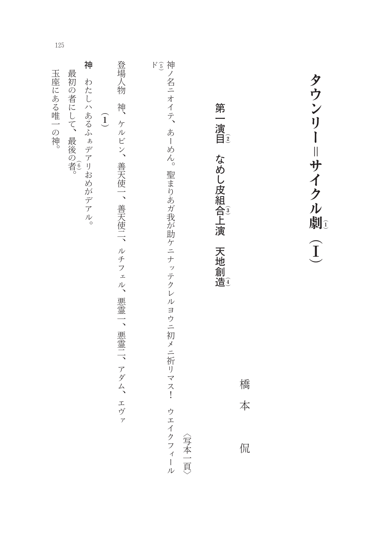| 最初の者にして、 | 神<br>わたしハあるふ<br>ぁデアリおめがデアル。 | $\widehat{\mathbf{1}}$ | 登場人物<br>神<br>ケルビン、善天使一、善天使二、ルチフェル、悪霊一、悪霊二、アダム、エヴァ |  |                                      |                                                  | 第<br>一演<br>目 | 橋<br>本<br>侃      |                    | タウンリー=サイクル劇<br>$\widehat{\mathbf{I}}$ |
|----------|-----------------------------|------------------------|---------------------------------------------------|--|--------------------------------------|--------------------------------------------------|--------------|------------------|--------------------|---------------------------------------|
|          |                             | 「最後の者。                 |                                                   |  | $\mathbf{F} \, \widehat{\mathbf{5}}$ | 神ノ名ニオイテ、<br>あーめん。<br>聖まりあガ我が助ケニナッテクレルヨウニ初メニ祈リマス! |              | なめし皮組合上演<br>天地創造 | ウエイクフィール<br>〈写本一頁〉 |                                       |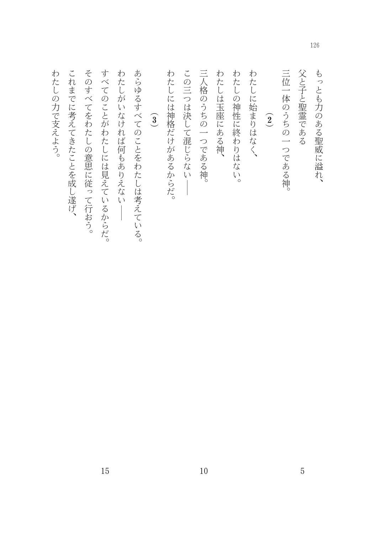| もっとも力のある聖威に溢れ、            |
|---------------------------|
| 父と子と聖霊である                 |
| 三位一体のうちの一つである神。           |
| $\widehat{2}$             |
| わたしに始まりはなく、               |
| わ<br>たしの神性に終わりは<br>ぶない。   |
| わたしは玉座にある神、               |
| 三人格のうちの一つである<br>神。        |
| この三つは決して混じらない             |
| わたしには神格だけがあるからだ。          |
| $\widehat{\mathbf{3}}$    |
| あらゆるすべてのことをわたしは考えている。     |
| わ<br>żΞ<br>しがいなければ何もありえない |
| すべ<br>てのことがわたしには見えているからだ。 |
| そのすべてをわたしの意思に従って行おう。      |
| こ<br>れまでに考えてきたことを成し遂げ、    |
| わ<br>たしの力で支えよう。           |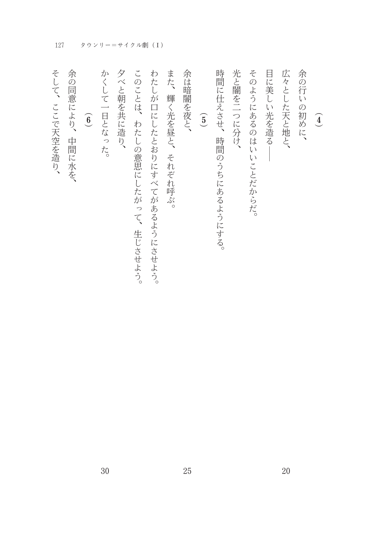| $\widehat{4}$              |
|----------------------------|
| 余の行いの初めに、                  |
| 広々とした天と地と、                 |
| 目に美しい光を造る                  |
| そのようにあるのはいいことだからだ。         |
| 光と闇を二つに分け、                 |
| 時間に仕えさせ、<br>時間のうちにあるようにする。 |
| $\widehat{5}$              |
| 余は暗闇を夜と、                   |
| また、<br>輝く光を昼と、それぞれ呼ぶ。      |
| わたしが口にしたとおりにすべてがあるようにさせよう。 |
| このことは、わたしの意思にしたがって、生じさせよう。 |
| 夕べと朝を共に造り、                 |
| かくして一日となった。                |
| $\widehat{6}$              |
| 余の同意により、中間に水を、             |
| そして、ここで天空を造り、              |

127 タウンリー=サイクル劇 (I)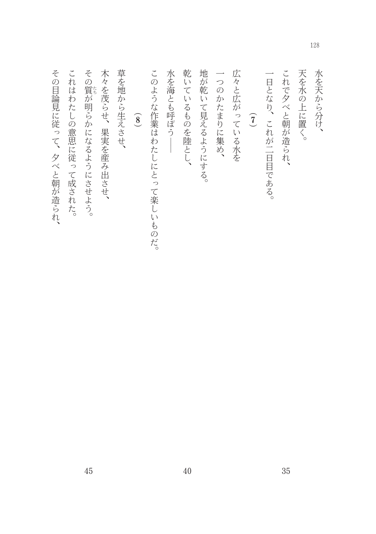| 乾いているものを陸とし、                                                                                                                      | 地が乾いて見えるようにする。 | 一つのかたまりに集め、 | 広々と広がっている水を | $\widehat{J}$ | 一日となり、これが二日目である。 |
|-----------------------------------------------------------------------------------------------------------------------------------|----------------|-------------|-------------|---------------|------------------|
| 草を地から生えさせ、<br>木々を茂らせ、果実を産み出させ、<br>水を海とも呼ぼう<br>その質が明らかになるようにさせよう。<br>これはわたしの意思に従って成された。<br>このような作業はわたしにとって楽しいものだ。<br>$\widehat{8}$ |                |             |             |               |                  |
|                                                                                                                                   |                |             |             |               |                  |
|                                                                                                                                   |                |             |             |               |                  |
|                                                                                                                                   |                |             |             |               |                  |
|                                                                                                                                   |                |             |             |               |                  |
|                                                                                                                                   |                |             |             |               |                  |
|                                                                                                                                   |                |             |             |               |                  |
|                                                                                                                                   |                |             |             |               |                  |
|                                                                                                                                   |                |             |             |               |                  |
| これで夕べと朝が造られ、                                                                                                                      |                |             |             |               |                  |
| 天を水の上に置く。                                                                                                                         |                |             |             |               |                  |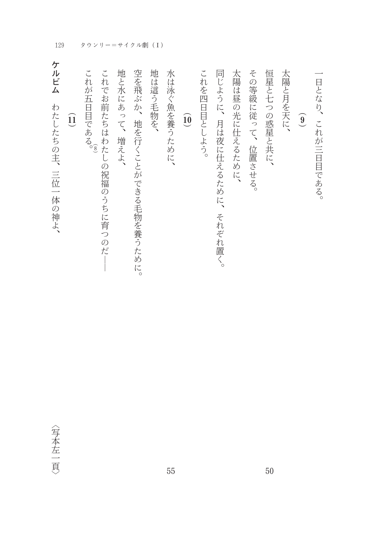129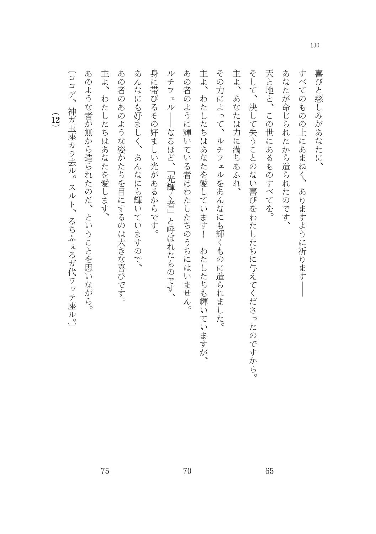喜びと慈しみがあなたに、

すべてのものの上にあまねく、ありますように祈りますー

あなたが命じられたから造られたのです、

天と地と、この世にあるものすべてを。

そして、決して失うことのない喜びをわたしたちに与えてくださったのですから。

主よ、あなたは力に満ちあふれ、

その力によって、ルチフェルをあんなにも輝くものに造られました。

主よ、わたしたちはあなたを愛しています! わたしたちも輝いていますが、

あの者のように輝いている者はわたしたちのうちにはいません。

70

ルチフェル ––なるほど、「光輝く者」と呼ばれたものです、

身に帯びるその好ましい光があるからです。

あんなにも好ましく、あんなにも輝いていますので、

あの者のあのような姿かたちを目にするのは大きな喜びです。

主よ、わたしたちはあなたを愛します、

あのような者が無から造られたのだ、ということを思いながら。

〔ココデ、神ガ玉座カラ去ル。スルト、るちふぇるガ代ワッテ座ル。〕

 $\widehat{12}$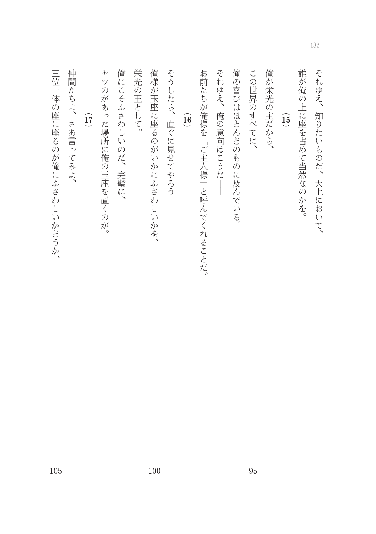| 誰<br>が<br>俺<br>7<br>l<br>J<br>$\lambda$ |  |
|-----------------------------------------|--|
| Ò                                       |  |

それゆえ、知りたいものだ、天上において、

# $\widehat{\mathbf{15}}$

俺が栄光の主だから、

この世界のすべてに、

俺の喜びはほとんどのものに及んでいる。

それゆえ、俺の意向はこうだ––

お前たちが俺様を「ご主人様」と呼んでくれることだ。

#### $\underline{\widehat{16}}$

そうしたら、直ぐに見せてやろう

俺様が玉座に座るのがいかにふさわしいかを、

栄光の王として。

俺にこそふさわしいのだ、完璧に、

ヤツのがあった場所に俺の玉座を置くのが。

 $\widehat{\mathsf{17}}$ 

仲間たちよ、さあ言ってみよ、

三位一体の座に座るのが俺にふさわしいかどうか、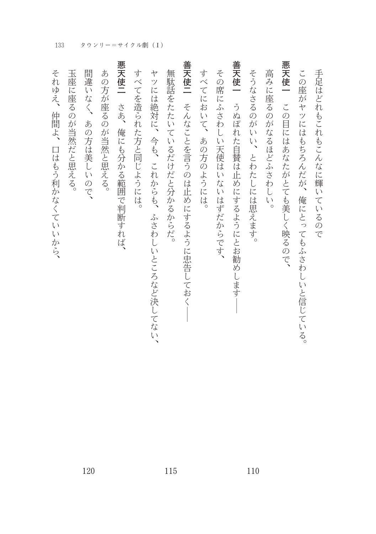| 手足はどれもこれもこんなに輝いているので                  |
|---------------------------------------|
| この座がヤツにはもちろんだが、俺にとってもふさわしいと信じている。     |
| 悪天使一 この目にはあなたがとても美しく映るので、             |
| 高みに座るのがなるほどふさわしい。                     |
| そうなさるのがいい、とわたしには思えます。                 |
| 善天使一 うぬぼれた自賛は止めにするようにとお勧めします          |
| その席<br>にふさわしい天使はいないはずだからです、           |
| すべてにおいて、あの方のようには。                     |
| 善天使二<br>そんなことを言うのは止めにするように忠告しておく      |
| 無駄話をたたいているだけだと分かるからだ。                 |
| ヤツには絶対に、今も、これからも、<br>ふさわしいところなど決してない、 |
| すべてを造られた方と同じようには。                     |
| 悪天使二<br>さあ、俺にも分かる範囲で判断すれば、            |
| あの方が座るのが当然と思える。                       |
| 間違<br>いなく<br>あの方は美しいので、               |
| 玉座に座るのが当然だと思える。                       |
| それゆえ、<br>仲間よ、<br>口はもう利かなくていいから、       |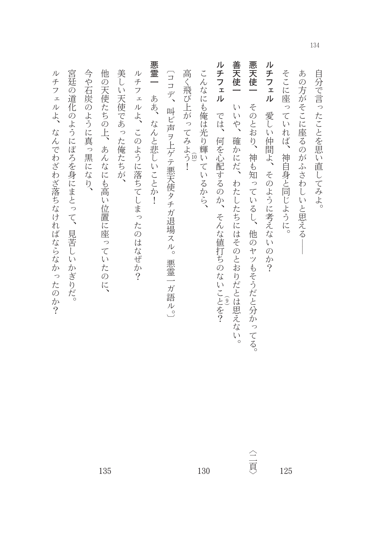| 自分で言ったことを思い直してみよ。                                   |     |
|-----------------------------------------------------|-----|
| あの方がそこに座るのがふさわしいと思える                                |     |
| そこに座っていれば、神自身と同じように。                                | 125 |
| ルチフェル<br>愛しい仲間よ、そのように考えないのか?                        |     |
| 悪天使一<br>そのとおり、神も知っているし、他のヤツもそうだと分かってる。              | △三頁 |
| 善天使一<br>いいや、確かにだ、わたしたちにはそのとおりだとは思えない。               |     |
| ルチフェル<br>では、何を心配するのか、そんな値打ちのないことを?<br>$\widehat{9}$ |     |
| こんなにも俺は光り輝いているから、                                   | 130 |
| 高く飛び上がってみよう!<br>$\widehat{10}$                      |     |
| 〔ココデ、叫ビ声ヲ上ゲテ悪天使タチガ退場スル。悪霊一ガ語ル。〕                     |     |
| 悪霊一 ああ、なんと悲しいことか!                                   |     |
| ルチフェルよ、このように落ちてしまったのはなぜか?                           |     |
| 美しい天使であった俺たちが、                                      |     |
| 他の天使たちの上、あんなにも高い位置に座っていたのに、                         | 135 |
| 今や石炭のように真っ黒になり、                                     |     |
| 宮廷の道化のようにぼろを身にまとって、見苦しいかぎりだ。                        |     |
| ルチフェルよ、なんでわざわざ落ちなければならなかったのか?                       |     |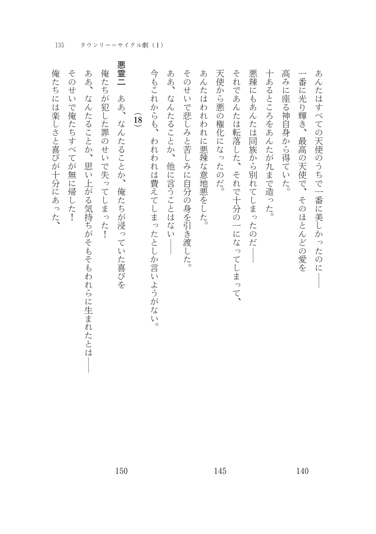| 俺たちには楽しさと喜びが十分にあった、                                  |
|------------------------------------------------------|
| そのせいで俺たちすべてが無に帰した!                                   |
| ああ、<br>なんたることか、思い上がる気持ちがそもそもわれらに生まれたとは               |
| 俺たちが犯した罪のせいで失ってしまっ<br>たし                             |
| 悪霊二<br>ああ、<br>なんたることか、<br>俺たちが浸っていた喜びを               |
| $\widehat{18}$                                       |
| 今もこれからも、<br>われわれは費えてしまったとしか言いようがない。                  |
| ああ、<br>な<br>んたることか、他に言うことはな<br>$\tilde{\mathcal{N}}$ |
| そのせい<br>で悲しみと苦しみに自分の身を引き渡した。                         |
| あんたは<br>われわれに悪辣な意地悪をした。                              |
| 天使から悪の権化になったのだ。                                      |
| それであんたは転落した、<br>それで十分の一になってしまって、                     |
| 悪辣にもあんたは同族から別れてしまっ<br>たのだ                            |
| 十あるところをあんたが九まで造った。                                   |
| 高みに座る神自身から得ていた。                                      |
| 番に光り輝き、<br>最高の天使で、<br>そのほとんどの愛を                      |
| あんたはすべての天使のうちで一番に美しかったのに                             |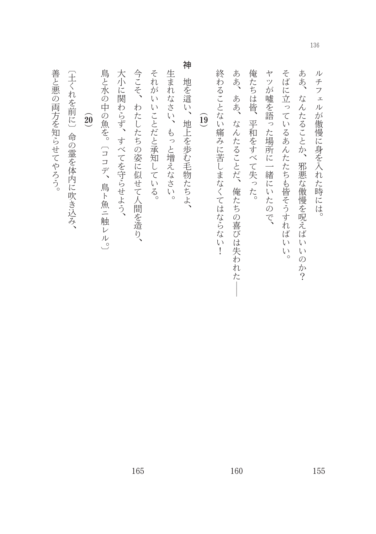善と悪の両方を知らせてやろう。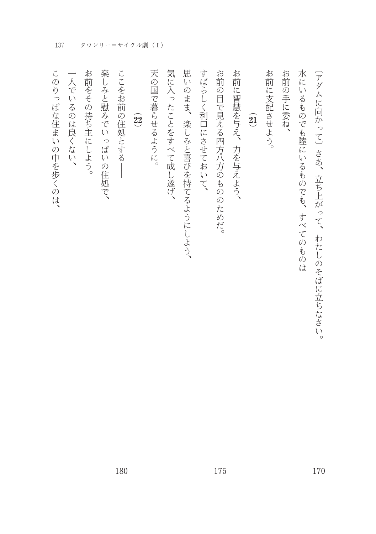| お前に支配させよう。<br>お前の手に委ね、<br>水にいるものでも陸にいるものでも、すべてのものは<br>〔アダムに向かって〕さあ、立ち上がって、わたしのそばに立ちなさい。<br>$\widehat{\mathfrak{A}}$ |
|---------------------------------------------------------------------------------------------------------------------|
| お前に智慧を与え、力を与えよう、                                                                                                    |
| お前の目で見える四方八方のもののためだ。                                                                                                |
| すばらしく利口にさせておいて、                                                                                                     |
| 思いのまま、楽しみと喜びを持てるようにしよう、                                                                                             |
| 気に入ったことをすべて成し遂げ、                                                                                                    |
| 天の国で暮らせるように。                                                                                                        |
| $\widehat{22}$                                                                                                      |
| ここをお前の住処とする                                                                                                         |
| 楽しみと慰みでいっぱいの住処で、                                                                                                    |
| お前をその持ち主にしよう。                                                                                                       |
| 一人でいるのは良くない、                                                                                                        |
| このりっぱな住まいの中を歩くのは、                                                                                                   |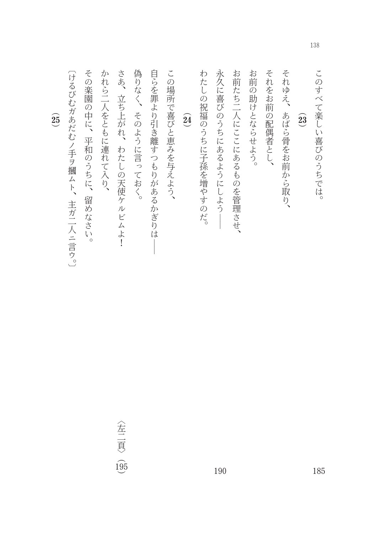このすべて楽しい喜びのうちでは。

## $\widehat{\mathbf{23}}$

それゆえ、あばら骨をお前から取り、

それをお前の配偶者とし、

お前の助けとならせよう。

お前たち二人にここにあるものを管理させ、

永久に喜びのうちにあるようにしよう――

わたしの祝福のうちに子孫を増やすのだ。

 $\widehat{24}$ 

この場所で喜びと恵みを与えよう、

自らを罪より引き離すつもりがあるかぎりは

偽りなく、そのように言っておく。

さあ、立ち上がれ、わたしの天使ケルビムよ!

かれら二人をともに連れて入り、

その楽園の中に、平和のうちに、留めなさい。

〔けるびむガあだむノ手ヲ摑ムト、主ガ二人ニ言ウ。〕

 $\widehat{\mathbf{25}}$ 

〈左二頁〉 (95)

190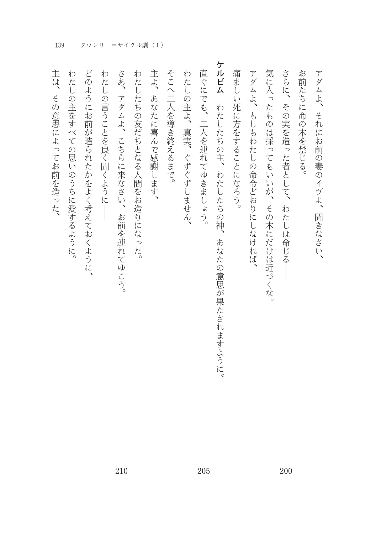| アダムよ、それにお前の妻のイヴよ、<br>聞きなさい、                |
|--------------------------------------------|
| お前たちに命の木を禁じる。                              |
| さらに、その実を造った者として、<br>わたしは命じる                |
| 気に入ったものは採ってもいいが、その木にだけは近づくな。               |
| アダムよ、もしもわたしの命令どおりにしなければ、                   |
| 痛ましい死に方をすることになろう。                          |
| ケルビム わたしたちの主、わたしたちの神、<br>あなたの意思が果たされますように。 |
| 直ぐにでも、二人を連れてゆきましょう。                        |
| わたしの主よ、真実、ぐずぐずしません、                        |
| そこへ二人を導き終えるまで。                             |
| 主よ、あなたに喜んで感謝します、                           |
| わたしたちの友だちとなる人間をお造りになった。                    |
| さあ、<br>アダムよ、こちらに来なさい、<br>お前を連れてゆこう。        |
| わたしの言うことを良く聞くように                           |
| どのようにお前が造られたかをよく考えておくように、                  |
| わたしの主をすべての思いのうちに愛するように。                    |
| 主は、その意思によってお前を造った、                         |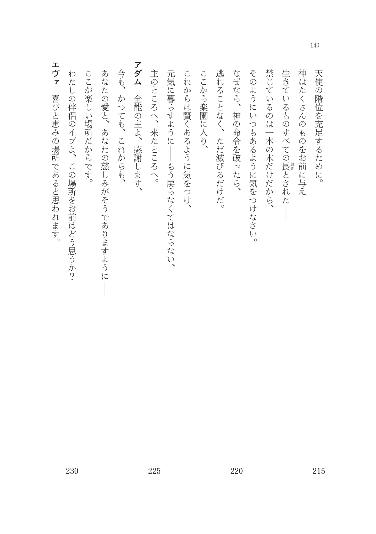| エヴァ<br>喜びと恵みの場所であると思われます。   |
|-----------------------------|
| わたしの伴侶のイブよ、この場所をお前はどう思うか?   |
| ここが楽しい場所だからです。              |
| あなたの愛と、あなたの慈しみがそうでありますように   |
| 今も、<br>かつても、これからも、          |
| アダム<br>全能の主よ、感謝します、         |
| 主のところへ、来たところへ。              |
| 元気に暮らすように<br>-もう戻らなくてはならない、 |
| これからは賢くあるように気をつけ、           |
| ここから楽園に入り、                  |
| 逃れることなく、ただ滅びるだけだ。           |
| なぜなら、神の命令を破ったら、             |
| そのようにいつもあるように気をつけなさい。       |
| 禁じているのは一本の木だけだから、           |
| 生きているものすべての長とされた            |
| 神はたくさんのものをお前に与え             |
| 天使の階位を充足するために。              |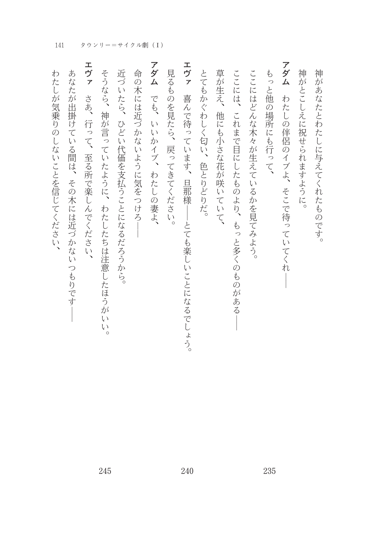| わたしが気乗りのしないことを信じてください、                     |
|--------------------------------------------|
| あなたが出掛けている間は、その木には近づかないつもりです               |
| エヴァ<br>さあ、行って、至る所で楽しんでください、                |
| そうなら、神が言っていたように、わたしたちは注意したほうがいい。           |
| 近づいたら、ひどい代価を支払うことになるだろうから。                 |
| 命の木には近づかないように気をつけろ                         |
| アダム でも、いいかイブ、わたしの妻よ、                       |
| 見るものを見たら、戻ってきてください。                        |
| エヴァ<br>喜んで待っています、旦那様<br>──とても楽しいことになるでしょう。 |
| とてもかぐわしく匂い、色とりどりだ。                         |
| 草が生え、他にも小さな花が咲いていて、                        |
| ここには、<br>これまで目にしたものより、<br>、もっと多くのものがある     |
| ここにはどんな木々が生えているかを見てみよう。                    |
| もっと他の場所にも行って、                              |
| アダム<br>わたしの伴侶のイブよ、そこで待っていてくれ-              |
| 神がとこしえに祝せられますように。                          |
| 神があなたとわたしに与えてくれたものです。                      |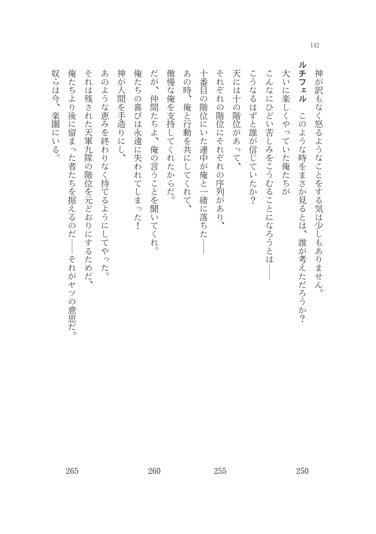| ルチフェル<br>傲慢な俺を支持してくれたからだ。<br>だが、仲間たちよ、俺の言うことを聞いてくれ。<br>大いに楽しくやっていた俺たちが<br>あの時、<br>十番目の階位にいた連中が俺と一緒に落ちた<br>それぞれの階位にそれぞれの序列があり、<br>天には十の階位があって、<br>神が訳もなく怒るようなことをする気は少しもありません。<br>こうなるはずと誰が信じていたか?<br>こんなにひどい苦しみをこうむることになろうとは<br>俺と行動を共にしてくれて、<br>このような時をまさか見るとは、<br>誰が考えただろうか? |
|-------------------------------------------------------------------------------------------------------------------------------------------------------------------------------------------------------------------------------------------------------------------------------|
|                                                                                                                                                                                                                                                                               |
|                                                                                                                                                                                                                                                                               |
|                                                                                                                                                                                                                                                                               |
|                                                                                                                                                                                                                                                                               |
|                                                                                                                                                                                                                                                                               |
|                                                                                                                                                                                                                                                                               |
|                                                                                                                                                                                                                                                                               |
| 俺たちの喜びは永遠に失われてしまった!                                                                                                                                                                                                                                                           |
| 神が人間を手造りにし、                                                                                                                                                                                                                                                                   |
| あのような恵みを終わりなく持てるようにしてやった。                                                                                                                                                                                                                                                     |
| それは残された天軍九隊の階位を元どおりにするためだ、                                                                                                                                                                                                                                                    |
| 俺たちより後に留まった者たちを据えるのだー<br>-それがヤツの意思だ。                                                                                                                                                                                                                                          |

奴らは今、楽園にいる。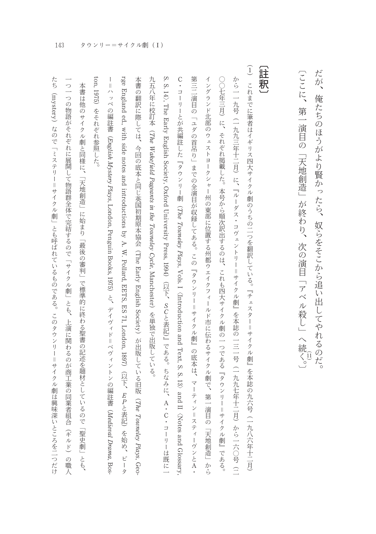〔ここに、第一演目の「天地創造」が終わり、次の演目「アベル殺し」へ続く。〕 だが、俺たちのほうがより賢かったら、奴らをそこから追い出してやれるのだ。

### $\Gamma$

| (註釈) |                                                                                                                 |
|------|-----------------------------------------------------------------------------------------------------------------|
|      | (1) これまでに筆者はイギリス四大サイクル劇のうちの二つを翻訳している。『チェスター=サイクル劇』を本誌の九六号(一九八六年十二月)                                             |
|      | から一一九号(一九九三年十二月)に、『ルーダス・コヴェントリー=サイクル劇』を本誌の一三一号(一九九七年十二月)から一六〇号(二                                                |
|      | ○○七年三月)に、それぞれ掲載した。本号から順次訳出するのは、これも四大サイクル劇の一つである『タウンリー=サイクル劇』である。                                                |
|      | イングランド北部のウェストヨークシャー州の東部に位置する州都ウエイクフィールド市に伝わるサイクル劇で、第一演目の「天地創造」から                                                |
|      | 第三二演目の「ユダの首吊り」までの全演目が収録してある。この『タウンリー=サイクル劇』の底本は、マーティン=スティーヴンとA・                                                 |
|      | C・コーリーとが共編註した『タウンリー劇(The Touwadey Plays, Vols. I(Introduction and Text, S. S. 13)and II(Notes and Glossary,     |
|      | S. S. 14〉, The Early English Society, Oxford University Press, 1994)(以下、SCと表記)』である。ちなみに、A・C・コーリーは既に一            |
|      | 九五八年に校訂本 (7he Wakefield Pageants in the Touvneley Cycle, Manchester)を単独で出版している。                                 |
|      | 本書の翻訳に際しては、今回の底本と同じ英国初期原本協会(The Early English Society)が出版している旧版(The Touwaley Plays, Geo-                        |
|      | rge England ed. with side notes and introductions by A. W. Pollard, EETS, ES 71, London, 1897)(以下、EPと表記)を始め、ピータ |
| Ì    | =ハッペの編註書(Evrgtish Mystery Plays, London, Penguin Books, 1975)と、デイヴィド=ベヴィントンの編註書(Medieval Drama, Bos-            |
|      | ton, 1975)をそれぞれ参照した。                                                                                            |

たち(mystery)なので「ミステリー=サイクル劇」とも呼ばれているものである。このタウンリー=サイクル劇は興味深いところを二つだけ 一つ一つの物語がそれぞれに展開して物語群全体で完結するので「サイクル劇」とも、上演に関わるのが商工業の同業者組合(ギルド)の職人 本書は他のサイクル劇と同様に、「天地創造」に始まり「最後の審判」で標準的に終わる聖書の記述を題材としているので「聖史劇」とも、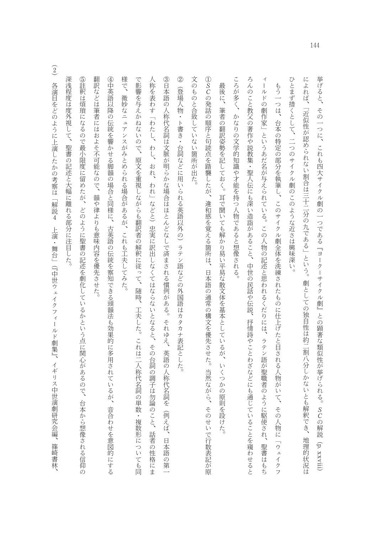$\mathcal Q$ ③日本語の人称代名詞は文脈が明らかな場合はほとんどなしで済まされる慣例がある。それゆえ、英語の人称代名詞を(例えば、 文のものと合致していない箇所が出た。 ①SCの発話の順序と句読点を踏襲したが、違和感を覚える箇所は、日本語の通常の構文を優先させた。当然ながら、そのせいで行数表記が原 ころが多く、かなりの文学的知識や才能を持つ人物であると想像される。 ろんのこと教父の著作や説教集・聖人伝にも深い造詣があること、中世の民話や伝説、抒情詩やことわざなどにも通じていることを窺わせると ひとまず措くとして、二つのサイクル劇のこのような近さは興味深い。 によれば、「近似性が認められない割合は三十二分の九である」という。劇としての独自性は約二割八分しかないとも解釈でき、 挙げると、その一つに、これも四大サイクル劇の一つである『ヨーク=サイクル劇』との顕著な類似性が挙げられる。SCの解説(p. xxviii) 人称を表わす「わたし、わし、おれ、われ」などと)忠実に訳出しなくてはならないとなると、その台詞の調子は勿論のこと、 ィールドの劇作家」というあだ名が与えられている。この人物の記述と思われるくだりには、ラテン語が聖職者のように駆使され、 最後に、筆者の翻訳姿勢を記しておく。耳で聞いても解かり易い平易な散文体を基本としているが、いくつかの原則を設けた。 もう一つは、台本の特定の部分を執筆し、このサイクル劇全体を洗練されたものに仕上げたと目される人物がいて、その人物に「ウェイクフ (登場人物・ト書き・台詞などに用いられる英語以外の)ラテン語などの外国語はカタカナ表記とした。 話者の性格にま 日本語の第一 地理的状況は 聖書はもち

様で、 翻訳などは筆者にはおよそ不可能なので、 ④中英語以降の伝統を響かせる脚韻の場合と同様に、古英語の伝統を察知できる頭韻法も効果的に多用されているが、音合わせを意図的にする で影響を与えかねないので、原文を重視しながらも翻訳者の解釈に従って、随時、工夫した。これは二人称代名詞の単数・複数形についても同 微妙なニュアンスがみとめられる場合があるが、これも工夫してみた。 龍や律よりも意味内容を優先させた。

深浅程度は度外視して、聖書の記述と大幅に離れる部分に注目した。

⑤註釈は煩瑣になるので最小限度に留めたが、どのように聖書の記述を劇化しているかという点に関心があるので、台本から想像される信仰の

 $\widehat{2}$ |各演目をどのように上演したかの考察は「解説4 上演・舞台」(『中世ウェイクフィールド劇集』、イギリス中世演劇研究会編| 篠崎書林、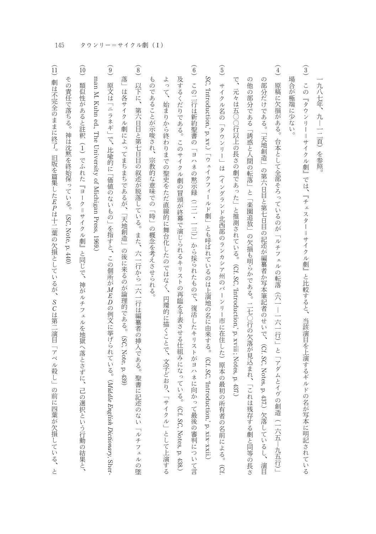九八七年、九ー一二頁)を参照

- $\overline{\mathbf{3}}$ 場合が極端に少ない この『タウンリー=サイクル劇』では、『チェスター=サイクル劇』と比較すると、当該演目を上演するギルドの名が写本に明記されている
- $\widehat{4}$  $\vec{\zeta}$ の他の部分である「誘惑と人間の転落」と「楽園追放」の欠損も明らかである。二七○行の欠落が見込まれ、「これは残存する劇と同等の長さ の部分だけである。「天地創造」の第六日目と第七日目の記述が編纂者か写本筆記者のせいで、(Cf. SC, Notes, p. 437.)欠落しているし、演目 |原稿に欠損がある。台本として全部そろっているのが「ルチフェルの転落(六一―一六一行)」と「アダムとイヴの創造(一六五―九五行)」 元々は五〇〇行以上の長さの劇であった」と推測されている。 (Cf. SC, 'hitroduction, p. xviii; Notes, p. 437.)
- $\begin{array}{c} \boxed{5} \end{array}$ サイクル名の「タウンリー」は(イングランド北西部のランカシア州のバーンリー市に在住した)原本の最初の所有者の名前による。  $\widehat{\Omega}$

SC, "Introduction," p. xv.)「ウェイクフィールド劇」とも呼ばれているのは上演地の名に由来する。(Cf. SC, "Introduction," p. xix-xxii.)

- (6) この二行は新約聖書の「ヨハネの黙示録(二二・一三)」から採られたもので、復活したキリストがヨハネに向かって最後の審判について言 及するくだりである。このサイクル劇の冒頭が終幕で演じられるキリストの再臨を予表させる仕組みになっている。(Cf. SC, Notes, p. 438.)
- よって、始まりから終わりまでの聖史をただ直線的に舞台化したのではなく、円環的に描くことで、文字どおり、「サイクル」として上演する ものであることが示唆され、宗教的な意味での「時」の概念を考えさせられる。
- $\circledS$ 落」は各サイクル劇によってまちまちであるが、「天地創造」の後に来るのが論理的である。 以下に、第六日目と第七日目の叙述が脱落している。また、六一行から一六一行は編纂者の挿入である。聖書に記述のない (SC, Note, p. 439 「ルチフェルの墜
- $\begin{matrix} 9 \end{matrix}$ man M. Kuhn ed., The University of Michigan Press, 1969.) 原文は「ニラネギ」で、比喩的に「価値のないもの」を指すと、この個所が*MED*の例文に挙げられている。(Mfddle English Dictionary, Sher
- $\underline{\widehat{10}}$ その責任で落ちる。神は沈黙を終始保っている。(SC, Note, p. 440) 類似性があると註釈(1)でふれた『ヨーク=サイクル劇』と同じで、神がルチフェルを地獄へ落とさずに、己の選択という行動の結果と、
- $\widehat{\mathbf{1}}$ 劇は不完全のままに終了。旧版を篇集したEPは十二葉の欠損としているが、SCは第二演目「アベル殺し」の前に四葉が欠損している、と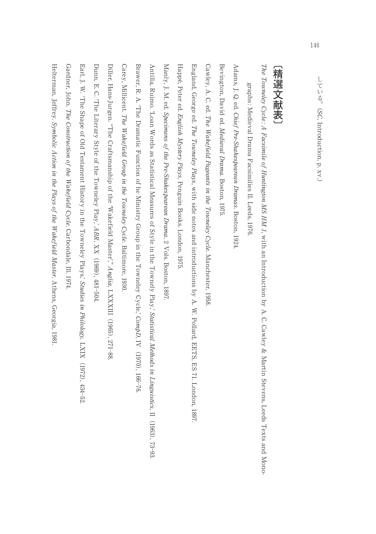### /精選文献表 (精選文献表)

The Towneley Cycle : A Facsimile of Huntington MSHM  $I$ , with an Introductionby A. C. Cawley & Martin Stevens, Leeds Texts and Mono-

graphs : Medieval Drama Facsimilies II. Leeds, 9/6I

Adams, J. Q. ed. Chief Pre-Shakespearean Dramas. Boston, +3,.

Bevington, David ed. Medieval Drama. Boston, +31/

Cawley, A. C. ed. The Wakefield Pageants in the Towneley Cycle. Manchester, 8961

England, George ed. The Towneley Plays, with side notes and introductions by A. W. Pollard, EETS, ES 71. London, +231.

Happe´, Peter ed. English Mystery Plays, Penguin Books. London, +31/.

Manly, J. M. ed. Specimens of the Pre-ShakespeareanDrama, 2 Vols. Boston, +231

Antilla, Ruimo. 'Loan Words as StatisticalMeasures of Style in the Townely Play,' Statistical Methods in Linguistics $, \mathbb{I}$  (1963), 73–93.

Brawer, R. A. 'The DramaticFunction of he Ministry Group in the Towneley Cycle,' CompD, IV  $(0.161)$ 166-76.

Carey, Millicent. The Wakefield Group in the Towneley Cycle. Baltimore, 1930

Diller, Hans-Jurgen. "The Craftsmanship of the 'Wakefield Master'," Anglia, LXXXIII  $(1960)$ ,1+ -22

Dunn, E. C. 'The Literary Style of the Towneley Play,' ABR, XX  $(1963)$  $-181 -$ /\*..

Earl, J. W. 'The Shape of Old Testament History in the Towneley Plays,' Studies in Philology, LXIX  $(73.5)$  $434 - 52$ 

Gardner, John. The Construction of the Wakefield Cycle. Carbondale, Ill. 1974.

Helterman, Jeffrey. Symbolic Action in the Plays of the Wakefield Master. Athens, Georgia, +32+.